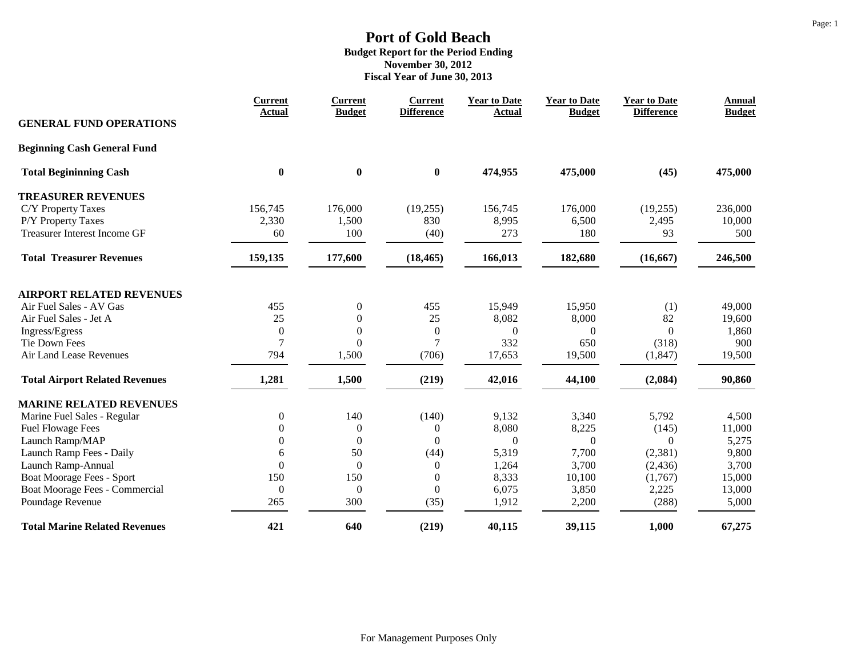|                                       | <b>Current</b><br><b>Actual</b> | <b>Current</b><br><b>Budget</b> | <b>Current</b><br><b>Difference</b> | <b>Year to Date</b><br><b>Actual</b> | <b>Year to Date</b><br><b>Budget</b> | <b>Year to Date</b><br><b>Difference</b> | Annual<br><b>Budget</b> |
|---------------------------------------|---------------------------------|---------------------------------|-------------------------------------|--------------------------------------|--------------------------------------|------------------------------------------|-------------------------|
| <b>GENERAL FUND OPERATIONS</b>        |                                 |                                 |                                     |                                      |                                      |                                          |                         |
| <b>Beginning Cash General Fund</b>    |                                 |                                 |                                     |                                      |                                      |                                          |                         |
| <b>Total Begininning Cash</b>         | $\boldsymbol{0}$                | $\boldsymbol{0}$                | $\boldsymbol{0}$                    | 474,955                              | 475,000                              | (45)                                     | 475,000                 |
| <b>TREASURER REVENUES</b>             |                                 |                                 |                                     |                                      |                                      |                                          |                         |
| C/Y Property Taxes                    | 156,745                         | 176,000                         | (19,255)                            | 156,745                              | 176,000                              | (19,255)                                 | 236,000                 |
| P/Y Property Taxes                    | 2,330                           | 1,500                           | 830                                 | 8,995                                | 6,500                                | 2,495                                    | 10,000                  |
| <b>Treasurer Interest Income GF</b>   | 60                              | 100                             | (40)                                | 273                                  | 180                                  | 93                                       | 500                     |
| <b>Total Treasurer Revenues</b>       | 159,135                         | 177,600                         | (18, 465)                           | 166,013                              | 182,680                              | (16, 667)                                | 246,500                 |
| <b>AIRPORT RELATED REVENUES</b>       |                                 |                                 |                                     |                                      |                                      |                                          |                         |
| Air Fuel Sales - AV Gas               | 455                             | $\boldsymbol{0}$                | 455                                 | 15,949                               | 15,950                               | (1)                                      | 49,000                  |
| Air Fuel Sales - Jet A                | 25                              | $\overline{0}$                  | 25                                  | 8,082                                | 8,000                                | 82                                       | 19,600                  |
| Ingress/Egress                        | $\theta$                        | $\boldsymbol{0}$                | $\boldsymbol{0}$                    | $\Omega$                             | $\Omega$                             | $\Omega$                                 | 1,860                   |
| Tie Down Fees                         | $\overline{7}$                  | $\theta$                        | $\overline{7}$                      | 332                                  | 650                                  | (318)                                    | 900                     |
| Air Land Lease Revenues               | 794                             | 1,500                           | (706)                               | 17,653                               | 19,500                               | (1, 847)                                 | 19,500                  |
| <b>Total Airport Related Revenues</b> | 1,281                           | 1,500                           | (219)                               | 42,016                               | 44,100                               | (2,084)                                  | 90,860                  |
| <b>MARINE RELATED REVENUES</b>        |                                 |                                 |                                     |                                      |                                      |                                          |                         |
| Marine Fuel Sales - Regular           | $\overline{0}$                  | 140                             | (140)                               | 9,132                                | 3,340                                | 5,792                                    | 4,500                   |
| <b>Fuel Flowage Fees</b>              | $\overline{0}$                  | $\mathbf{0}$                    | $\mathbf{0}$                        | 8,080                                | 8,225                                | (145)                                    | 11,000                  |
| Launch Ramp/MAP                       | $\boldsymbol{0}$                | $\boldsymbol{0}$                | $\mathbf{0}$                        | $\Omega$                             | $\Omega$                             | $\Omega$                                 | 5,275                   |
| Launch Ramp Fees - Daily              | 6                               | 50                              | (44)                                | 5,319                                | 7,700                                | (2, 381)                                 | 9,800                   |
| Launch Ramp-Annual                    | $\theta$                        | $\mathbf{0}$                    | $\overline{0}$                      | 1,264                                | 3,700                                | (2, 436)                                 | 3,700                   |
| Boat Moorage Fees - Sport             | 150                             | 150                             | $\overline{0}$                      | 8,333                                | 10,100                               | (1,767)                                  | 15,000                  |
| Boat Moorage Fees - Commercial        | $\theta$                        | $\boldsymbol{0}$                | $\overline{0}$                      | 6,075                                | 3,850                                | 2,225                                    | 13,000                  |
| Poundage Revenue                      | 265                             | 300                             | (35)                                | 1,912                                | 2,200                                | (288)                                    | 5,000                   |
| <b>Total Marine Related Revenues</b>  | 421                             | 640                             | (219)                               | 40,115                               | 39,115                               | 1,000                                    | 67,275                  |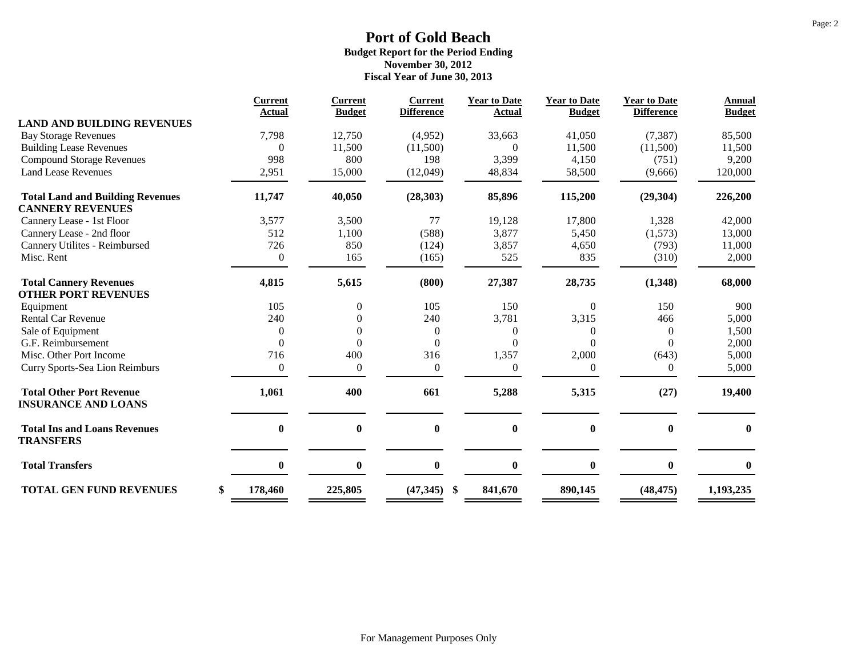|                                                               | <b>Current</b>   | <b>Current</b> | <b>Current</b>    | <b>Year to Date</b> | <b>Year to Date</b> | <b>Year to Date</b> | <b>Annual</b> |
|---------------------------------------------------------------|------------------|----------------|-------------------|---------------------|---------------------|---------------------|---------------|
|                                                               | Actual           | <b>Budget</b>  | <b>Difference</b> | <b>Actual</b>       | <b>Budget</b>       | <b>Difference</b>   | <b>Budget</b> |
| <b>LAND AND BUILDING REVENUES</b>                             |                  |                |                   |                     |                     |                     |               |
| <b>Bay Storage Revenues</b>                                   | 7,798            | 12,750         | (4,952)           | 33,663              | 41,050              | (7, 387)            | 85,500        |
| <b>Building Lease Revenues</b>                                | $\overline{0}$   | 11,500         | (11,500)          |                     | 11,500              | (11,500)            | 11,500        |
| <b>Compound Storage Revenues</b>                              | 998              | 800            | 198               | 3,399               | 4,150               | (751)               | 9,200         |
| <b>Land Lease Revenues</b>                                    | 2,951            | 15,000         | (12,049)          | 48,834              | 58,500              | (9,666)             | 120,000       |
| <b>Total Land and Building Revenues</b>                       | 11,747           | 40,050         | (28, 303)         | 85,896              | 115,200             | (29, 304)           | 226,200       |
| <b>CANNERY REVENUES</b>                                       |                  |                |                   |                     |                     |                     |               |
| Cannery Lease - 1st Floor                                     | 3,577            | 3,500          | 77                | 19,128              | 17,800              | 1,328               | 42,000        |
| Cannery Lease - 2nd floor                                     | 512              | 1,100          | (588)             | 3,877               | 5,450               | (1,573)             | 13,000        |
| Cannery Utilites - Reimbursed                                 | 726              | 850            | (124)             | 3,857               | 4,650               | (793)               | 11,000        |
| Misc. Rent                                                    | $\boldsymbol{0}$ | 165            | (165)             | 525                 | 835                 | (310)               | 2,000         |
| <b>Total Cannery Revenues</b>                                 | 4,815            | 5,615          | (800)             | 27,387              | 28,735              | (1,348)             | 68,000        |
| <b>OTHER PORT REVENUES</b>                                    |                  |                |                   |                     |                     |                     |               |
| Equipment                                                     | 105              | $\overline{0}$ | 105               | 150                 | $\Omega$            | 150                 | 900           |
| <b>Rental Car Revenue</b>                                     | 240              | $\theta$       | 240               | 3,781               | 3,315               | 466                 | 5,000         |
| Sale of Equipment                                             | $\boldsymbol{0}$ | $\overline{0}$ | $\boldsymbol{0}$  | $\boldsymbol{0}$    | 0                   | $\Omega$            | 1,500         |
| G.F. Reimbursement                                            | $\theta$         | $\theta$       | $\Omega$          | $\Omega$            |                     | $\Omega$            | 2,000         |
| Misc. Other Port Income                                       | 716              | 400            | 316               | 1,357               | 2,000               | (643)               | 5,000         |
| Curry Sports-Sea Lion Reimburs                                | $\overline{0}$   | $\overline{0}$ | $\mathbf{0}$      | $\Omega$            | $\Omega$            | $\overline{0}$      | 5,000         |
| <b>Total Other Port Revenue</b><br><b>INSURANCE AND LOANS</b> | 1,061            | 400            | 661               | 5,288               | 5,315               | (27)                | 19,400        |
| <b>Total Ins and Loans Revenues</b><br><b>TRANSFERS</b>       | $\bf{0}$         | $\bf{0}$       | $\bf{0}$          | $\bf{0}$            | $\bf{0}$            | $\mathbf{0}$        | $\mathbf{0}$  |
| <b>Total Transfers</b>                                        | $\bf{0}$         | $\bf{0}$       | $\bf{0}$          | $\bf{0}$            | $\bf{0}$            | $\bf{0}$            | $\bf{0}$      |
| <b>TOTAL GEN FUND REVENUES</b>                                | \$<br>178,460    | 225,805        | $(47,345)$ \$     | 841,670             | 890,145             | (48, 475)           | 1,193,235     |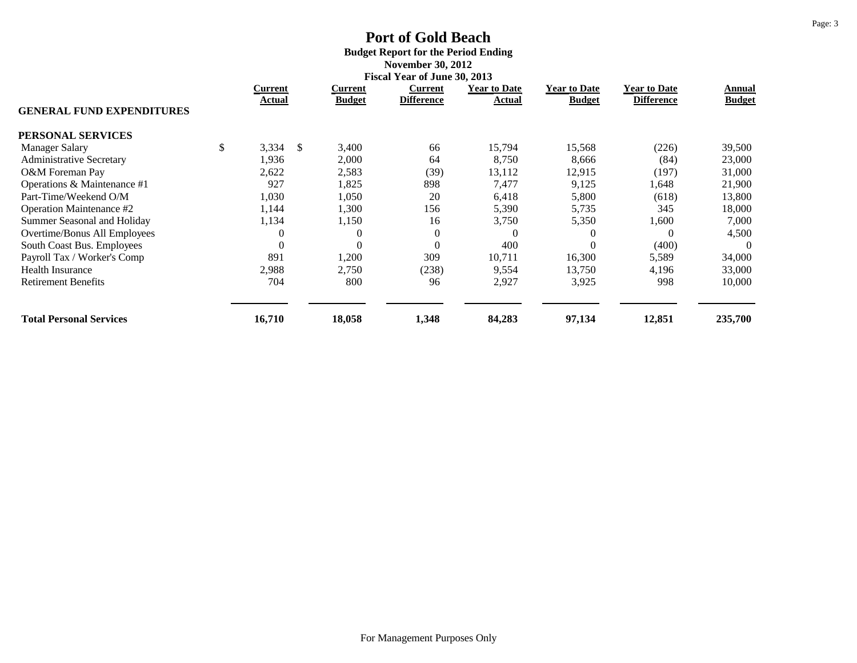# **Port of Gold Beach Budget Report for the Period Ending November 30, 2012**

|                                  | Fiscal Year of June 30, 2013 |                   |               |                          |                              |                               |                                      |                                          |                         |  |
|----------------------------------|------------------------------|-------------------|---------------|--------------------------|------------------------------|-------------------------------|--------------------------------------|------------------------------------------|-------------------------|--|
|                                  |                              | Current<br>Actual |               | Current<br><b>Budget</b> | Current<br><b>Difference</b> | <b>Year to Date</b><br>Actual | <b>Year to Date</b><br><b>Budget</b> | <b>Year to Date</b><br><b>Difference</b> | Annual<br><b>Budget</b> |  |
| <b>GENERAL FUND EXPENDITURES</b> |                              |                   |               |                          |                              |                               |                                      |                                          |                         |  |
| PERSONAL SERVICES                |                              |                   |               |                          |                              |                               |                                      |                                          |                         |  |
| <b>Manager Salary</b>            | \$                           | 3,334             | <sup>\$</sup> | 3,400                    | 66                           | 15,794                        | 15,568                               | (226)                                    | 39,500                  |  |
| <b>Administrative Secretary</b>  |                              | 1,936             |               | 2,000                    | 64                           | 8,750                         | 8,666                                | (84)                                     | 23,000                  |  |
| O&M Foreman Pay                  |                              | 2,622             |               | 2,583                    | (39)                         | 13,112                        | 12,915                               | (197)                                    | 31,000                  |  |
| Operations & Maintenance #1      |                              | 927               |               | 1,825                    | 898                          | 7,477                         | 9,125                                | 1,648                                    | 21,900                  |  |
| Part-Time/Weekend O/M            |                              | 1.030             |               | 1,050                    | 20                           | 6,418                         | 5,800                                | (618)                                    | 13,800                  |  |
| Operation Maintenance #2         |                              | 1,144             |               | 1,300                    | 156                          | 5,390                         | 5,735                                | 345                                      | 18,000                  |  |
| Summer Seasonal and Holiday      |                              | 1,134             |               | 1,150                    | 16                           | 3,750                         | 5,350                                | 1,600                                    | 7,000                   |  |
| Overtime/Bonus All Employees     |                              | $\Omega$          |               | $\boldsymbol{0}$         | $\boldsymbol{0}$             | $\theta$                      |                                      | $\Omega$                                 | 4,500                   |  |
| South Coast Bus. Employees       |                              | $\theta$          |               | $\Omega$                 | $\theta$                     | 400                           |                                      | (400)                                    |                         |  |
| Payroll Tax / Worker's Comp      |                              | 891               |               | 1,200                    | 309                          | 10,711                        | 16,300                               | 5,589                                    | 34,000                  |  |
| <b>Health Insurance</b>          |                              | 2,988             |               | 2,750                    | (238)                        | 9,554                         | 13,750                               | 4,196                                    | 33,000                  |  |
| <b>Retirement Benefits</b>       |                              | 704               |               | 800                      | 96                           | 2,927                         | 3,925                                | 998                                      | 10,000                  |  |
| <b>Total Personal Services</b>   |                              | 16,710            |               | 18,058                   | 1,348                        | 84,283                        | 97,134                               | 12,851                                   | 235,700                 |  |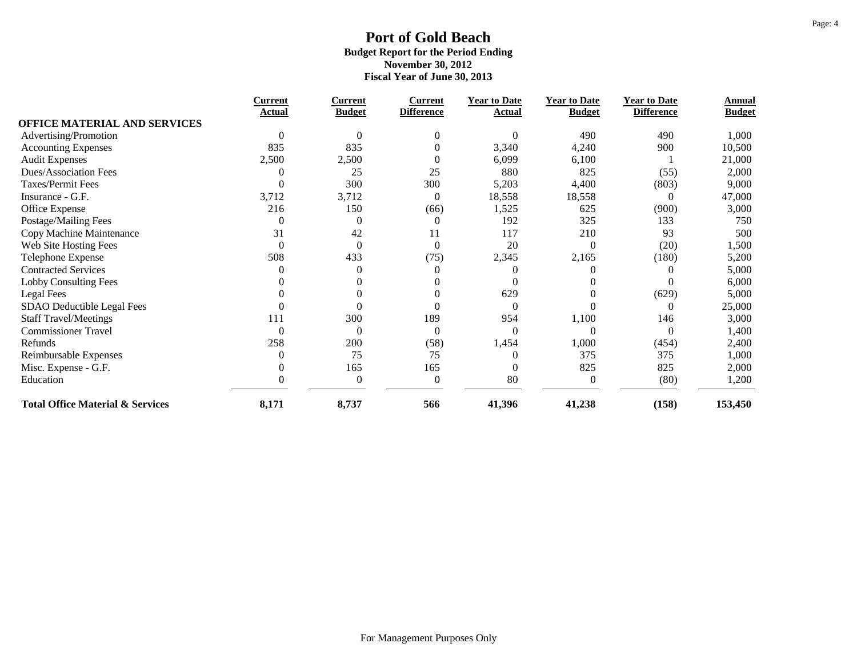|                                             | <b>Current</b> | <b>Current</b> | <b>Current</b>    | <b>Year to Date</b> | <b>Year to Date</b> | <b>Year to Date</b> | Annual        |
|---------------------------------------------|----------------|----------------|-------------------|---------------------|---------------------|---------------------|---------------|
|                                             | <b>Actual</b>  | <b>Budget</b>  | <b>Difference</b> | Actual              | <b>Budget</b>       | <b>Difference</b>   | <b>Budget</b> |
| <b>OFFICE MATERIAL AND SERVICES</b>         |                |                |                   |                     |                     |                     |               |
| Advertising/Promotion                       | $\theta$       | $\Omega$       | $\theta$          |                     | 490                 | 490                 | 1,000         |
| Accounting Expenses                         | 835            | 835            | $\Omega$          | 3,340               | 4,240               | 900                 | 10,500        |
| <b>Audit Expenses</b>                       | 2,500          | 2,500          | $\Omega$          | 6,099               | 6,100               |                     | 21,000        |
| <b>Dues/Association Fees</b>                | 0              | 25             | 25                | 880                 | 825                 | (55)                | 2,000         |
| Taxes/Permit Fees                           | $\Omega$       | 300            | 300               | 5,203               | 4,400               | (803)               | 9,000         |
| Insurance - G.F.                            | 3,712          | 3,712          | $\mathbf{0}$      | 18,558              | 18,558              |                     | 47,000        |
| Office Expense                              | 216            | 150            | (66)              | 1,525               | 625                 | (900)               | 3,000         |
| Postage/Mailing Fees                        | 0              | $\Omega$       | $\mathbf{0}$      | 192                 | 325                 | 133                 | 750           |
| Copy Machine Maintenance                    | 31             | 42             | 11                | 117                 | 210                 | 93                  | 500           |
| Web Site Hosting Fees                       | $\theta$       | $\Omega$       | $\mathbf{0}$      | 20                  | $\Omega$            | (20)                | 1,500         |
| Telephone Expense                           | 508            | 433            | (75)              | 2,345               | 2,165               | (180)               | 5,200         |
| <b>Contracted Services</b>                  |                |                | $\theta$          |                     |                     |                     | 5,000         |
| <b>Lobby Consulting Fees</b>                |                |                | $\theta$          |                     |                     |                     | 6,000         |
| Legal Fees                                  |                |                | 0                 | 629                 |                     | (629)               | 5,000         |
| SDAO Deductible Legal Fees                  |                |                | $\theta$          | $\Omega$            |                     |                     | 25,000        |
| <b>Staff Travel/Meetings</b>                | 111            | 300            | 189               | 954                 | 1,100               | 146                 | 3,000         |
| <b>Commissioner Travel</b>                  | $\theta$       | $\theta$       | $\mathbf{0}$      | $\Omega$            | 0                   | $\Omega$            | 1,400         |
| Refunds                                     | 258            | 200            | (58)              | 1,454               | 1,000               | (454)               | 2,400         |
| Reimbursable Expenses                       | $\theta$       | 75             | 75                |                     | 375                 | 375                 | 1,000         |
| Misc. Expense - G.F.                        | $\theta$       | 165            | 165               |                     | 825                 | 825                 | 2,000         |
| Education                                   |                | $\theta$       | $\mathbf{0}$      | 80                  |                     | (80)                | 1,200         |
| <b>Total Office Material &amp; Services</b> | 8,171          | 8,737          | 566               | 41,396              | 41,238              | (158)               | 153,450       |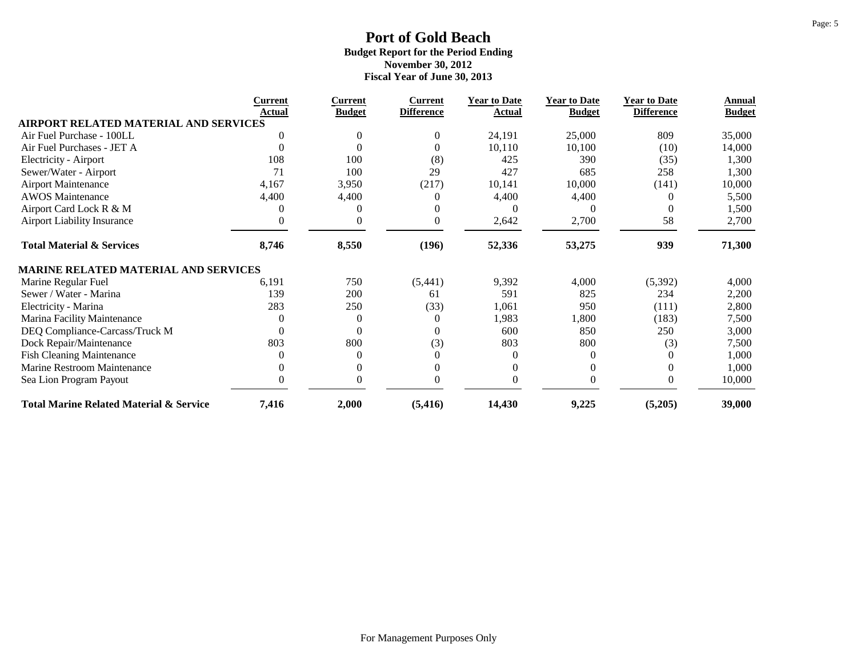|                                                    | <b>Current</b> | <u>Current</u> | <b>Current</b>    | <b>Year to Date</b> | <b>Year to Date</b> | <b>Year to Date</b> | Annual        |
|----------------------------------------------------|----------------|----------------|-------------------|---------------------|---------------------|---------------------|---------------|
| <b>AIRPORT RELATED MATERIAL AND SERVICES</b>       | Actual         | <b>Budget</b>  | <b>Difference</b> | Actual              | <b>Budget</b>       | <b>Difference</b>   | <b>Budget</b> |
| Air Fuel Purchase - 100LL                          | 0              |                | $\overline{0}$    |                     |                     | 809                 |               |
|                                                    |                |                |                   | 24,191              | 25,000              |                     | 35,000        |
| Air Fuel Purchases - JET A                         |                |                | $\mathbf{0}$      | 10,110              | 10,100              | (10)                | 14,000        |
| <b>Electricity - Airport</b>                       | 108            | 100            | (8)               | 425                 | 390                 | (35)                | 1,300         |
| Sewer/Water - Airport                              | 71             | 100            | 29                | 427                 | 685                 | 258                 | 1,300         |
| <b>Airport Maintenance</b>                         | 4,167          | 3,950          | (217)             | 10,141              | 10,000              | (141)               | 10,000        |
| <b>AWOS Maintenance</b>                            | 4,400          | 4,400          | $\theta$          | 4,400               | 4,400               |                     | 5,500         |
| Airport Card Lock R & M                            |                | $\Omega$       | $\Omega$          |                     |                     |                     | 1,500         |
| <b>Airport Liability Insurance</b>                 | 0              | 0              | $\mathbf{0}$      | 2,642               | 2,700               | 58                  | 2,700         |
| <b>Total Material &amp; Services</b>               | 8,746          | 8,550          | (196)             | 52,336              | 53,275              | 939                 | 71,300        |
| <b>MARINE RELATED MATERIAL AND SERVICES</b>        |                |                |                   |                     |                     |                     |               |
| Marine Regular Fuel                                | 6,191          | 750            | (5, 441)          | 9,392               | 4,000               | (5,392)             | 4,000         |
| Sewer / Water - Marina                             | 139            | 200            | 61                | 591                 | 825                 | 234                 | 2,200         |
| Electricity - Marina                               | 283            | 250            | (33)              | 1,061               | 950                 | (111)               | 2,800         |
| Marina Facility Maintenance                        |                | 0              | 0                 | 1,983               | 1,800               | (183)               | 7,500         |
| DEQ Compliance-Carcass/Truck M                     |                | $\theta$       | $\overline{0}$    | 600                 | 850                 | 250                 | 3,000         |
| Dock Repair/Maintenance                            | 803            | 800            | (3)               | 803                 | 800                 | (3)                 | 7,500         |
| <b>Fish Cleaning Maintenance</b>                   |                | 0              | $\theta$          |                     |                     |                     | 1,000         |
| Marine Restroom Maintenance                        |                |                | $\Omega$          |                     |                     | 0                   | 1,000         |
| Sea Lion Program Payout                            |                |                | $\theta$          |                     |                     | $\theta$            | 10,000        |
| <b>Total Marine Related Material &amp; Service</b> | 7,416          | 2,000          | (5, 416)          | 14,430              | 9,225               | (5,205)             | 39,000        |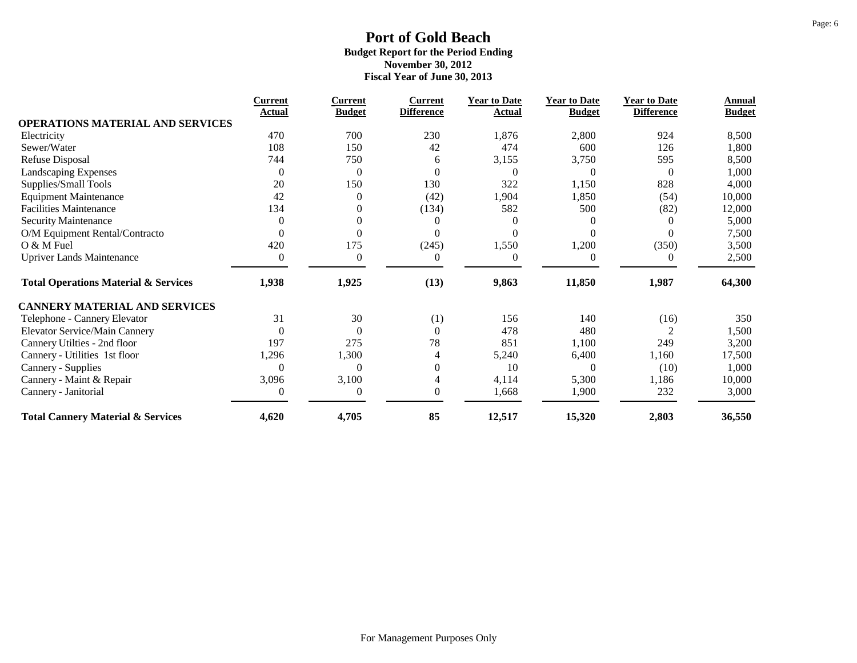|                                                 | <b>Current</b>   | Current          | <b>Current</b>    | <b>Year to Date</b> | <b>Year to Date</b> | <b>Year to Date</b> | Annual        |
|-------------------------------------------------|------------------|------------------|-------------------|---------------------|---------------------|---------------------|---------------|
| OPERATIONS MATERIAL AND SERVICES                | Actual           | <b>Budget</b>    | <b>Difference</b> | Actual              | <b>Budget</b>       | <b>Difference</b>   | <b>Budget</b> |
| Electricity                                     | 470              | 700              | 230               | 1,876               | 2,800               | 924                 | 8,500         |
| Sewer/Water                                     | 108              | 150              | 42                | 474                 | 600                 | 126                 | 1,800         |
| <b>Refuse Disposal</b>                          | 744              | 750              | 6                 | 3,155               | 3,750               | 595                 | 8,500         |
| Landscaping Expenses                            | $\boldsymbol{0}$ | $\boldsymbol{0}$ | $\boldsymbol{0}$  | $\overline{0}$      | $\Omega$            | $\overline{0}$      | 1,000         |
| Supplies/Small Tools                            | 20               | 150              | 130               | 322                 | 1,150               | 828                 | 4,000         |
| <b>Equipment Maintenance</b>                    | 42               | $\mathbf{0}$     | (42)              | 1,904               | 1,850               | (54)                | 10,000        |
| <b>Facilities Maintenance</b>                   | 134              | $\overline{0}$   | (134)             | 582                 | 500                 | (82)                | 12,000        |
| Security Maintenance                            | $\theta$         | 0                | 0                 |                     |                     |                     | 5,000         |
| O/M Equipment Rental/Contracto                  |                  | $\theta$         | $\theta$          |                     |                     | $\Omega$            | 7,500         |
| O & M Fuel                                      | 420              | 175              | (245)             | 1,550               | 1,200               | (350)               | 3,500         |
| <b>Upriver Lands Maintenance</b>                | $\Omega$         | $\mathbf{0}$     | $\mathbf{0}$      |                     |                     | $\theta$            | 2,500         |
| <b>Total Operations Material &amp; Services</b> | 1,938            | 1,925            | (13)              | 9,863               | 11,850              | 1,987               | 64,300        |
| <b>CANNERY MATERIAL AND SERVICES</b>            |                  |                  |                   |                     |                     |                     |               |
| Telephone - Cannery Elevator                    | 31               | 30               | (1)               | 156                 | 140                 | (16)                | 350           |
| Elevator Service/Main Cannery                   | $\theta$         | $\theta$         | $\boldsymbol{0}$  | 478                 | 480                 |                     | 1,500         |
| Cannery Utilties - 2nd floor                    | 197              | 275              | 78                | 851                 | 1,100               | 249                 | 3,200         |
| Cannery - Utilities 1st floor                   | 1,296            | 1,300            | 4                 | 5,240               | 6,400               | 1,160               | 17,500        |
| Cannery - Supplies                              | 0                | $\theta$         | $\overline{0}$    | 10                  | $\Omega$            | (10)                | 1,000         |
| Cannery - Maint & Repair                        | 3,096            | 3,100            | 4                 | 4,114               | 5,300               | 1,186               | 10,000        |
| Cannery - Janitorial                            | $\boldsymbol{0}$ | $\boldsymbol{0}$ | $\boldsymbol{0}$  | 1,668               | 1,900               | 232                 | 3,000         |
| <b>Total Cannery Material &amp; Services</b>    | 4,620            | 4,705            | 85                | 12,517              | 15,320              | 2,803               | 36,550        |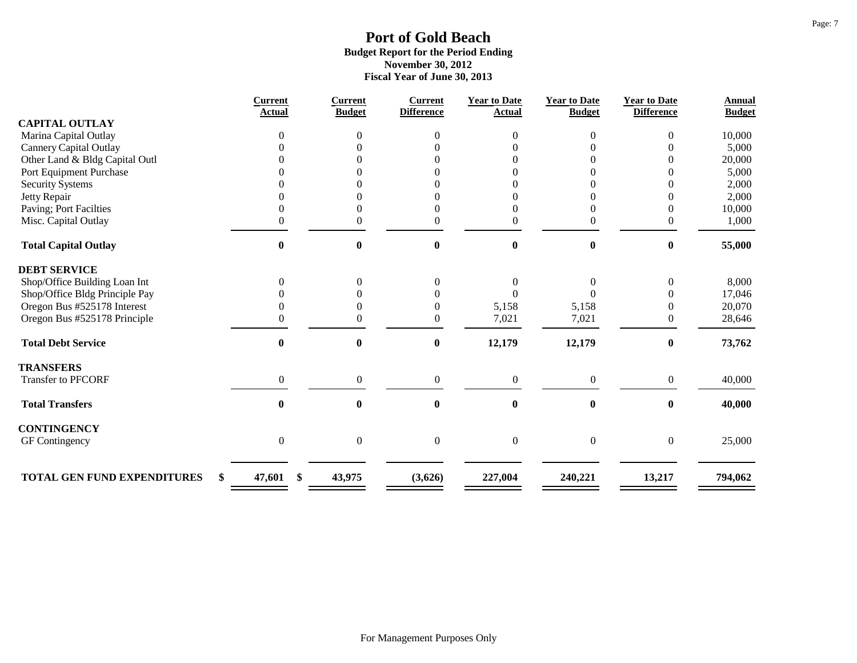|                                    | <b>Current</b>   | <b>Current</b>   | <b>Current</b>    | <b>Year to Date</b> | <b>Year to Date</b> | <b>Year to Date</b> | <b>Annual</b> |
|------------------------------------|------------------|------------------|-------------------|---------------------|---------------------|---------------------|---------------|
|                                    | Actual           | <b>Budget</b>    | <b>Difference</b> | Actual              | <b>Budget</b>       | <b>Difference</b>   | <b>Budget</b> |
| <b>CAPITAL OUTLAY</b>              |                  |                  |                   |                     |                     |                     |               |
| Marina Capital Outlay              |                  | 0                | $\theta$          | 0                   | 0                   | $\Omega$            | 10,000        |
| <b>Cannery Capital Outlay</b>      |                  |                  |                   |                     |                     |                     | 5,000         |
| Other Land & Bldg Capital Outl     |                  |                  | $\Omega$          |                     |                     |                     | 20,000        |
| Port Equipment Purchase            |                  |                  | ∩                 |                     |                     |                     | 5,000         |
| <b>Security Systems</b>            |                  |                  |                   |                     |                     |                     | 2,000         |
| Jetty Repair                       |                  |                  | $\Omega$          |                     |                     |                     | 2,000         |
| Paving; Port Facilties             |                  | 0                | $\Omega$          | 0                   | 0                   | $\Omega$            | 10,000        |
| Misc. Capital Outlay               | 0                | $\boldsymbol{0}$ | $\boldsymbol{0}$  | 0                   | $\boldsymbol{0}$    | $\mathbf{0}$        | 1,000         |
| <b>Total Capital Outlay</b>        | $\bf{0}$         | $\bf{0}$         | $\bf{0}$          | $\bf{0}$            | $\bf{0}$            | $\bf{0}$            | 55,000        |
| <b>DEBT SERVICE</b>                |                  |                  |                   |                     |                     |                     |               |
| Shop/Office Building Loan Int      | $\theta$         | $\theta$         | $\mathbf{0}$      | 0                   | 0                   | $\Omega$            | 8,000         |
| Shop/Office Bldg Principle Pay     |                  | $\Omega$         | $\Omega$          |                     |                     |                     | 17,046        |
| Oregon Bus #525178 Interest        |                  |                  | $\mathbf{0}$      | 5,158               | 5,158               | $\Omega$            | 20,070        |
| Oregon Bus #525178 Principle       |                  |                  | $\Omega$          | 7,021               | 7,021               | $\Omega$            | 28,646        |
| <b>Total Debt Service</b>          | $\bf{0}$         | $\bf{0}$         | $\bf{0}$          | 12,179              | 12,179              | $\bf{0}$            | 73,762        |
| <b>TRANSFERS</b>                   |                  |                  |                   |                     |                     |                     |               |
| Transfer to PFCORF                 | $\boldsymbol{0}$ | $\boldsymbol{0}$ | $\boldsymbol{0}$  | $\boldsymbol{0}$    | $\boldsymbol{0}$    | $\boldsymbol{0}$    | 40,000        |
| <b>Total Transfers</b>             | 0                | $\bf{0}$         | $\bf{0}$          | $\bf{0}$            | 0                   | $\bf{0}$            | 40,000        |
| <b>CONTINGENCY</b>                 |                  |                  |                   |                     |                     |                     |               |
| GF Contingency                     | $\boldsymbol{0}$ | $\boldsymbol{0}$ | $\boldsymbol{0}$  | $\boldsymbol{0}$    | $\boldsymbol{0}$    | $\boldsymbol{0}$    | 25,000        |
|                                    |                  |                  |                   |                     |                     |                     |               |
| <b>TOTAL GEN FUND EXPENDITURES</b> | \$<br>47,601     | 43,975<br>\$     | (3,626)           | 227,004             | 240,221             | 13,217              | 794,062       |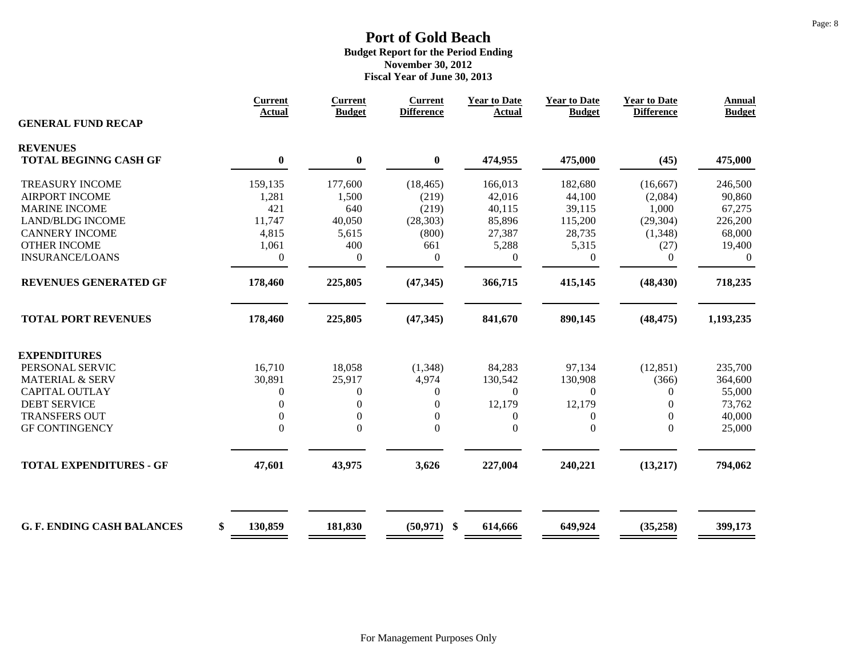|                                   | <b>Current</b><br><b>Actual</b> | <b>Current</b>   | <b>Current</b><br><b>Difference</b> | <b>Year to Date</b><br><b>Actual</b> | <b>Year to Date</b><br><b>Budget</b> | <b>Year to Date</b><br><b>Difference</b> | <b>Annual</b>  |
|-----------------------------------|---------------------------------|------------------|-------------------------------------|--------------------------------------|--------------------------------------|------------------------------------------|----------------|
| <b>GENERAL FUND RECAP</b>         |                                 | <b>Budget</b>    |                                     |                                      |                                      |                                          | <b>Budget</b>  |
| <b>REVENUES</b>                   |                                 |                  |                                     |                                      |                                      |                                          |                |
| <b>TOTAL BEGINNG CASH GF</b>      | $\bf{0}$                        | $\boldsymbol{0}$ | $\bf{0}$                            | 474,955                              | 475,000                              | (45)                                     | 475,000        |
| <b>TREASURY INCOME</b>            | 159,135                         | 177,600          | (18, 465)                           | 166,013                              | 182,680                              | (16, 667)                                | 246,500        |
| <b>AIRPORT INCOME</b>             | 1,281                           | 1,500            | (219)                               | 42,016                               | 44,100                               | (2,084)                                  | 90,860         |
| <b>MARINE INCOME</b>              | 421                             | 640              | (219)                               | 40,115                               | 39,115                               | 1,000                                    | 67,275         |
| <b>LAND/BLDG INCOME</b>           | 11,747                          | 40,050           | (28, 303)                           | 85,896                               | 115,200                              | (29, 304)                                | 226,200        |
| <b>CANNERY INCOME</b>             | 4,815                           | 5,615            | (800)                               | 27,387                               | 28,735                               | (1, 348)                                 | 68,000         |
| <b>OTHER INCOME</b>               | 1,061                           | 400              | 661                                 | 5,288                                | 5,315                                | (27)                                     | 19,400         |
| <b>INSURANCE/LOANS</b>            | $\boldsymbol{0}$                | $\boldsymbol{0}$ | $\boldsymbol{0}$                    | $\mathbf{0}$                         | $\overline{0}$                       | $\mathbf{0}$                             | $\overline{0}$ |
| <b>REVENUES GENERATED GF</b>      | 178,460                         | 225,805          | (47, 345)                           | 366,715                              | 415,145                              | (48, 430)                                | 718,235        |
| <b>TOTAL PORT REVENUES</b>        | 178,460                         | 225,805          | (47, 345)                           | 841,670                              | 890,145                              | (48, 475)                                | 1,193,235      |
| <b>EXPENDITURES</b>               |                                 |                  |                                     |                                      |                                      |                                          |                |
| PERSONAL SERVIC                   | 16,710                          | 18,058           | (1, 348)                            | 84,283                               | 97,134                               | (12, 851)                                | 235,700        |
| <b>MATERIAL &amp; SERV</b>        | 30,891                          | 25,917           | 4,974                               | 130,542                              | 130,908                              | (366)                                    | 364,600        |
| <b>CAPITAL OUTLAY</b>             | $\theta$                        | $\overline{0}$   | $\theta$                            | $\boldsymbol{0}$                     | $\Omega$                             | $\mathbf{0}$                             | 55,000         |
| <b>DEBT SERVICE</b>               | $\overline{0}$                  | $\overline{0}$   | $\mathbf{0}$                        | 12,179                               | 12,179                               | $\overline{0}$                           | 73,762         |
| <b>TRANSFERS OUT</b>              | $\overline{0}$                  | $\boldsymbol{0}$ | $\boldsymbol{0}$                    | 0                                    | 0                                    | $\theta$                                 | 40,000         |
| <b>GF CONTINGENCY</b>             | $\mathbf{0}$                    | $\overline{0}$   | $\boldsymbol{0}$                    | $\boldsymbol{0}$                     | $\overline{0}$                       | $\boldsymbol{0}$                         | 25,000         |
| <b>TOTAL EXPENDITURES - GF</b>    | 47,601                          | 43,975           | 3,626                               | 227,004                              | 240,221                              |                                          | 794,062        |
|                                   |                                 |                  |                                     |                                      |                                      | (13,217)                                 |                |
| <b>G. F. ENDING CASH BALANCES</b> | \$<br>130,859                   | 181,830          | $(50, 971)$ \$                      | 614,666                              | 649,924                              | (35, 258)                                | 399,173        |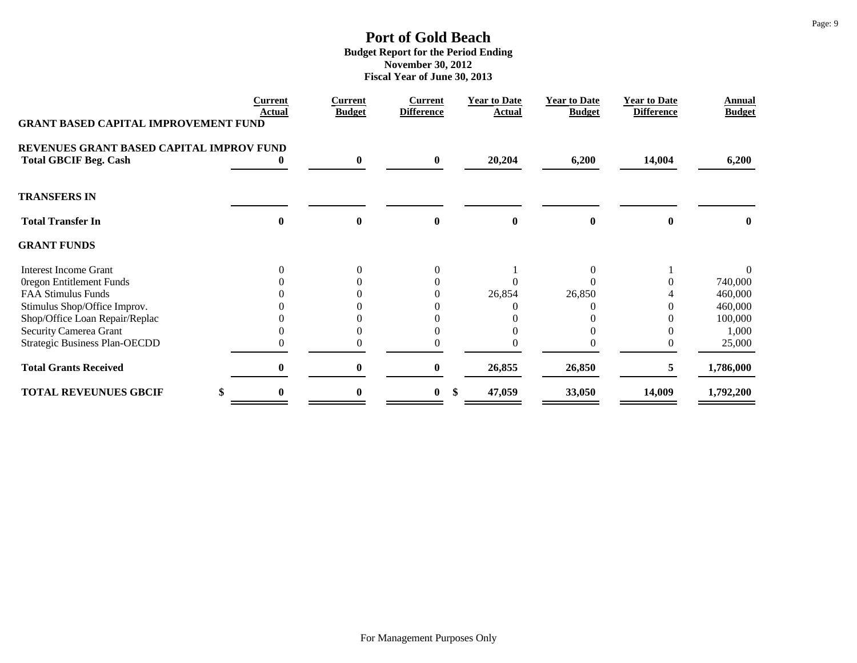| <b>GRANT BASED CAPITAL IMPROVEMENT FUND</b>                              | Current<br>Actual | <b>Current</b><br><b>Budget</b> | <b>Current</b><br><b>Difference</b> | <b>Year to Date</b><br><b>Actual</b> | <b>Year to Date</b><br><b>Budget</b> | <b>Year to Date</b><br><b>Difference</b> | Annual<br><b>Budget</b> |
|--------------------------------------------------------------------------|-------------------|---------------------------------|-------------------------------------|--------------------------------------|--------------------------------------|------------------------------------------|-------------------------|
| REVENUES GRANT BASED CAPITAL IMPROV FUND<br><b>Total GBCIF Beg. Cash</b> | U                 | $\bf{0}$                        | $\boldsymbol{0}$                    | 20,204                               | 6,200                                | 14,004                                   | 6,200                   |
| <b>TRANSFERS IN</b>                                                      |                   |                                 |                                     |                                      |                                      |                                          |                         |
| <b>Total Transfer In</b>                                                 | $\boldsymbol{0}$  | $\mathbf{0}$                    | $\mathbf{0}$                        | 0                                    | 0                                    | $\mathbf{0}$                             | $\mathbf{0}$            |
| <b>GRANT FUNDS</b>                                                       |                   |                                 |                                     |                                      |                                      |                                          |                         |
| <b>Interest Income Grant</b>                                             |                   | $\Omega$                        | $\Omega$                            |                                      |                                      |                                          |                         |
| Oregon Entitlement Funds                                                 |                   |                                 | $\Omega$                            |                                      |                                      |                                          | 740,000                 |
| <b>FAA Stimulus Funds</b>                                                |                   |                                 | 0                                   | 26,854                               | 26,850                               |                                          | 460,000                 |
| Stimulus Shop/Office Improv.                                             |                   |                                 |                                     |                                      |                                      |                                          | 460,000                 |
| Shop/Office Loan Repair/Replac                                           |                   |                                 |                                     |                                      |                                      |                                          | 100,000                 |
| Security Camerea Grant                                                   |                   |                                 | $\theta$                            |                                      |                                      |                                          | 1,000                   |
| <b>Strategic Business Plan-OECDD</b>                                     |                   |                                 | 0                                   |                                      |                                      |                                          | 25,000                  |
| <b>Total Grants Received</b>                                             | 0                 | 0                               | $\mathbf{0}$                        | 26,855                               | 26,850                               | 5.                                       | 1,786,000               |
| <b>TOTAL REVEUNUES GBCIF</b>                                             | 0                 | 0                               | $\bf{0}$<br>\$                      | 47,059                               | 33,050                               | 14,009                                   | 1,792,200               |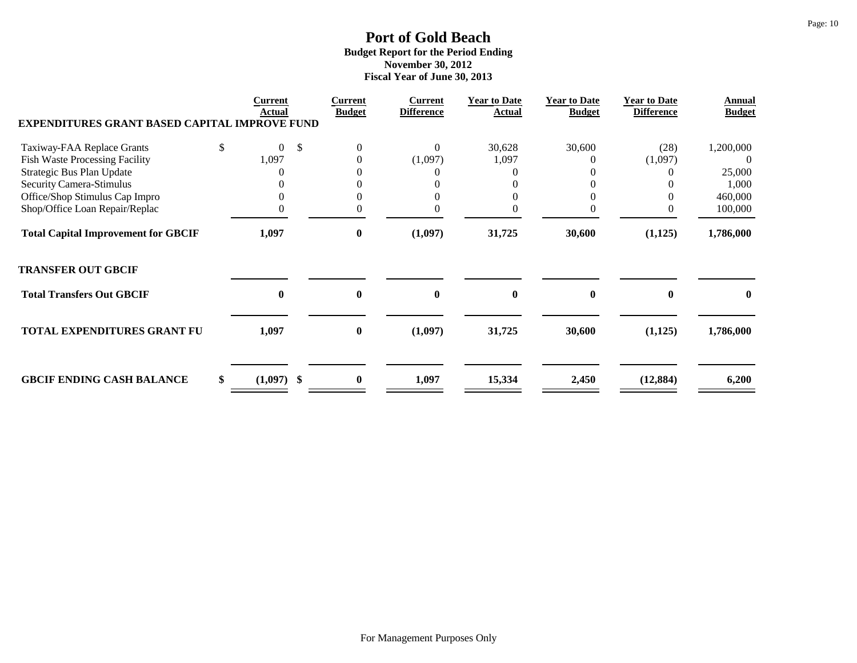| <b>EXPENDITURES GRANT BASED CAPITAL IMPROVE FUND</b> | <b>Current</b><br><b>Actual</b> | Current<br><b>Budget</b> | <b>Current</b><br><b>Difference</b> | <b>Year to Date</b><br>Actual | <b>Year to Date</b><br><b>Budget</b> | <b>Year to Date</b><br><b>Difference</b> | Annual<br><b>Budget</b> |
|------------------------------------------------------|---------------------------------|--------------------------|-------------------------------------|-------------------------------|--------------------------------------|------------------------------------------|-------------------------|
| Taxiway-FAA Replace Grants                           | \$<br>$\Omega$                  | $\mathbb{S}$<br>$\Omega$ | $\Omega$                            | 30,628                        | 30,600                               | (28)                                     | 1,200,000               |
| <b>Fish Waste Processing Facility</b>                | 1,097                           |                          | (1,097)                             | 1,097                         |                                      | (1,097)                                  | $\Omega$                |
| Strategic Bus Plan Update                            |                                 |                          |                                     |                               |                                      |                                          | 25,000                  |
| Security Camera-Stimulus                             |                                 |                          |                                     |                               |                                      |                                          | 1,000                   |
| Office/Shop Stimulus Cap Impro                       |                                 |                          |                                     |                               |                                      |                                          | 460,000                 |
| Shop/Office Loan Repair/Replac                       |                                 |                          |                                     |                               |                                      |                                          | 100,000                 |
| <b>Total Capital Improvement for GBCIF</b>           | 1,097                           | $\bf{0}$                 | (1,097)                             | 31,725                        | 30,600                               | (1, 125)                                 | 1,786,000               |
| <b>TRANSFER OUT GBCIF</b>                            |                                 |                          |                                     |                               |                                      |                                          |                         |
| <b>Total Transfers Out GBCIF</b>                     | 0                               | $\mathbf{0}$             | $\bf{0}$                            | $\bf{0}$                      | 0                                    |                                          | $\mathbf{0}$            |
| TOTAL EXPENDITURES GRANT FU                          | 1,097                           | $\boldsymbol{0}$         | (1,097)                             | 31,725                        | 30,600                               | (1, 125)                                 | 1,786,000               |
| <b>GBCIF ENDING CASH BALANCE</b>                     | \$<br>$(1,097)$ \$              | $\bf{0}$                 | 1,097                               | 15,334                        | 2,450                                | (12, 884)                                | 6,200                   |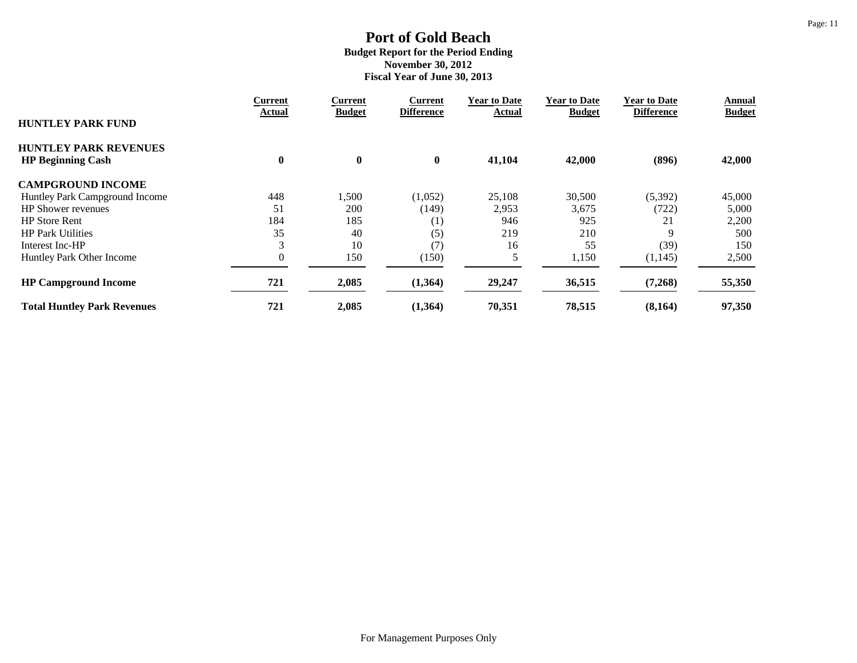|                                                          | Current  | <b>Current</b> | <b>Current</b>    | <b>Year to Date</b> | <b>Year to Date</b> | <b>Year to Date</b> | Annual        |
|----------------------------------------------------------|----------|----------------|-------------------|---------------------|---------------------|---------------------|---------------|
| <b>HUNTLEY PARK FUND</b>                                 | Actual   | <b>Budget</b>  | <b>Difference</b> | <b>Actual</b>       | <b>Budget</b>       | <b>Difference</b>   | <b>Budget</b> |
| <b>HUNTLEY PARK REVENUES</b><br><b>HP Beginning Cash</b> | $\bf{0}$ | $\bf{0}$       | $\bf{0}$          | 41,104              | 42,000              | (896)               | 42,000        |
| <b>CAMPGROUND INCOME</b>                                 |          |                |                   |                     |                     |                     |               |
| Huntley Park Campground Income                           | 448      | ,500           | (1,052)           | 25,108              | 30,500              | (5,392)             | 45,000        |
| <b>HP</b> Shower revenues                                | 51       | 200            | (149)             | 2,953               | 3,675               | (722)               | 5,000         |
| <b>HP Store Rent</b>                                     | 184      | 185            | (1)               | 946                 | 925                 | 21                  | 2,200         |
| <b>HP Park Utilities</b>                                 | 35       | 40             | (5)               | 219                 | 210                 | 9                   | 500           |
| Interest Inc-HP                                          | 3        | 10             | (7)               | 16                  | 55                  | (39)                | 150           |
| Huntley Park Other Income                                | $\theta$ | 150            | (150)             |                     | 1,150               | (1, 145)            | 2,500         |
| <b>HP Campground Income</b>                              | 721      | 2,085          | (1, 364)          | 29,247              | 36,515              | (7,268)             | 55,350        |
| <b>Total Huntley Park Revenues</b>                       | 721      | 2,085          | (1, 364)          | 70,351              | 78,515              | (8,164)             | 97,350        |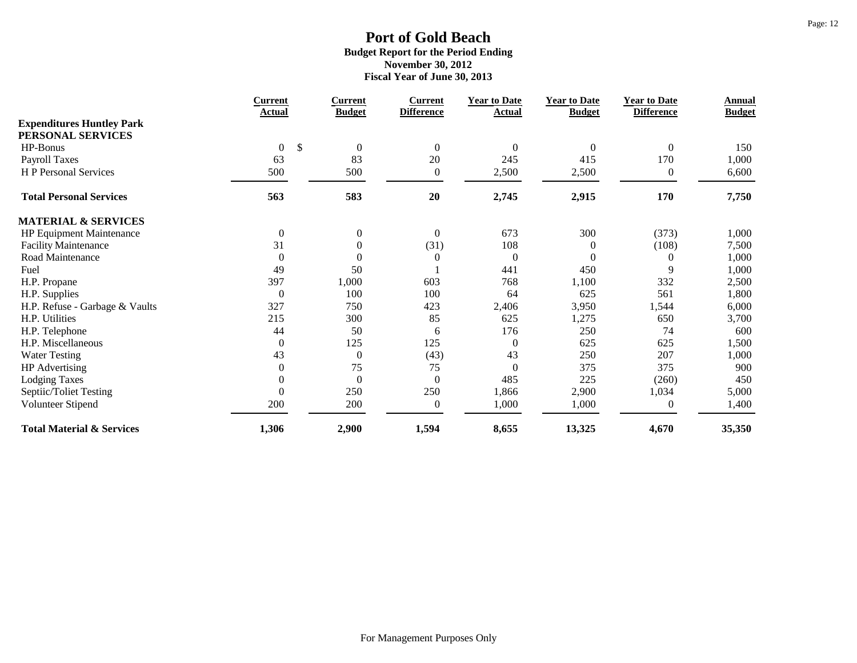|                                      | <b>Current</b>     | <b>Current</b>   | <b>Current</b>    | <b>Year to Date</b> | <b>Year to Date</b> | <b>Year to Date</b> | Annual        |
|--------------------------------------|--------------------|------------------|-------------------|---------------------|---------------------|---------------------|---------------|
| <b>Expenditures Huntley Park</b>     | Actual             | <b>Budget</b>    | <b>Difference</b> | Actual              | <b>Budget</b>       | <b>Difference</b>   | <b>Budget</b> |
| PERSONAL SERVICES                    |                    |                  |                   |                     |                     |                     |               |
| HP-Bonus                             | \$<br>$\mathbf{0}$ | $\boldsymbol{0}$ | $\boldsymbol{0}$  | $\theta$            | $\theta$            | $\theta$            | 150           |
| Payroll Taxes                        | 63                 | 83               | $20\,$            | 245                 | 415                 | 170                 | 1,000         |
| H P Personal Services                | 500                | 500              | $\boldsymbol{0}$  | 2,500               | 2,500               | $\boldsymbol{0}$    | 6,600         |
| <b>Total Personal Services</b>       | 563                | 583              | 20                | 2,745               | 2,915               | 170                 | 7,750         |
| <b>MATERIAL &amp; SERVICES</b>       |                    |                  |                   |                     |                     |                     |               |
| HP Equipment Maintenance             | $\boldsymbol{0}$   | $\boldsymbol{0}$ | $\boldsymbol{0}$  | 673                 | 300                 | (373)               | 1,000         |
| <b>Facility Maintenance</b>          | 31                 | $\boldsymbol{0}$ | (31)              | 108                 | $\theta$            | (108)               | 7,500         |
| Road Maintenance                     | $\boldsymbol{0}$   | $\boldsymbol{0}$ | $\boldsymbol{0}$  | $\overline{0}$      | $\Omega$            | 0                   | 1,000         |
| Fuel                                 | 49                 | 50               |                   | 441                 | 450                 | 9                   | 1,000         |
| H.P. Propane                         | 397                | 1,000            | 603               | 768                 | 1,100               | 332                 | 2,500         |
| H.P. Supplies                        | $\mathbf{0}$       | 100              | 100               | 64                  | 625                 | 561                 | 1,800         |
| H.P. Refuse - Garbage & Vaults       | 327                | 750              | 423               | 2,406               | 3,950               | 1,544               | 6,000         |
| H.P. Utilities                       | 215                | 300              | 85                | 625                 | 1,275               | 650                 | 3,700         |
| H.P. Telephone                       | 44                 | 50               | 6                 | 176                 | 250                 | 74                  | 600           |
| H.P. Miscellaneous                   | $\theta$           | 125              | 125               | $\mathbf{0}$        | 625                 | 625                 | 1,500         |
| <b>Water Testing</b>                 | 43                 | $\overline{0}$   | (43)              | 43                  | 250                 | 207                 | 1,000         |
| HP Advertising                       | $\boldsymbol{0}$   | 75               | 75                | $\theta$            | 375                 | 375                 | 900           |
| <b>Lodging Taxes</b>                 | $\boldsymbol{0}$   | $\boldsymbol{0}$ | $\boldsymbol{0}$  | 485                 | 225                 | (260)               | 450           |
| Septiic/Toliet Testing               | $\mathbf{0}$       | 250              | 250               | 1,866               | 2,900               | 1,034               | 5,000         |
| Volunteer Stipend                    | 200                | 200              | $\boldsymbol{0}$  | 1,000               | 1,000               | 0                   | 1,400         |
| <b>Total Material &amp; Services</b> | 1,306              | 2,900            | 1,594             | 8,655               | 13,325              | 4,670               | 35,350        |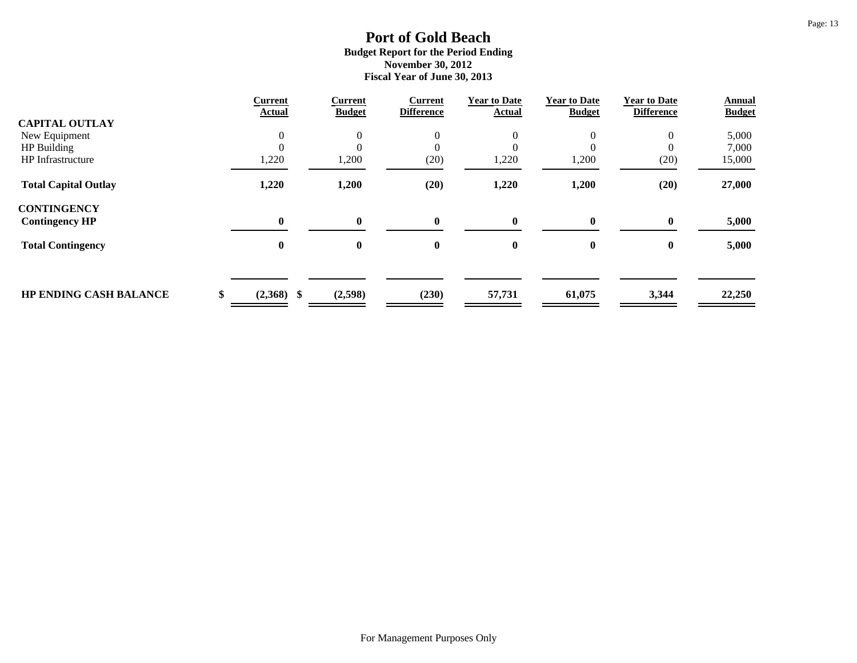|                               | <b>Current</b>     | <b>Current</b> | <b>Current</b><br><b>Difference</b> | <b>Year to Date</b> | <b>Year to Date</b> | <b>Year to Date</b><br><b>Difference</b> | <b>Annual</b> |
|-------------------------------|--------------------|----------------|-------------------------------------|---------------------|---------------------|------------------------------------------|---------------|
| <b>CAPITAL OUTLAY</b>         | <b>Actual</b>      | <b>Budget</b>  |                                     | <b>Actual</b>       | <b>Budget</b>       |                                          | <b>Budget</b> |
| New Equipment                 | $\overline{0}$     | 0              | $\theta$                            | $\theta$            | 0                   | $\theta$                                 | 5,000         |
| HP Building                   |                    |                | $\theta$                            |                     |                     |                                          | 7,000         |
| <b>HP</b> Infrastructure      | 1,220              | 1,200          | (20)                                | 1,220               | 1,200               | (20)                                     | 15,000        |
| <b>Total Capital Outlay</b>   | 1,220              | 1,200          | (20)                                | 1,220               | 1,200               | (20)                                     | 27,000        |
| <b>CONTINGENCY</b>            |                    |                |                                     |                     |                     |                                          |               |
| <b>Contingency HP</b>         | $\mathbf{0}$       | $\mathbf{0}$   | $\mathbf{0}$                        | $\bf{0}$            | $\mathbf{0}$        | $\mathbf{0}$                             | 5,000         |
| <b>Total Contingency</b>      | $\bf{0}$           | $\bf{0}$       | $\bf{0}$                            | $\bf{0}$            | $\bf{0}$            | $\bf{0}$                                 | 5,000         |
|                               |                    |                |                                     |                     |                     |                                          |               |
| <b>HP ENDING CASH BALANCE</b> | \$<br>$(2,368)$ \$ | (2,598)        | (230)                               | 57,731              | 61,075              | 3,344                                    | 22,250        |